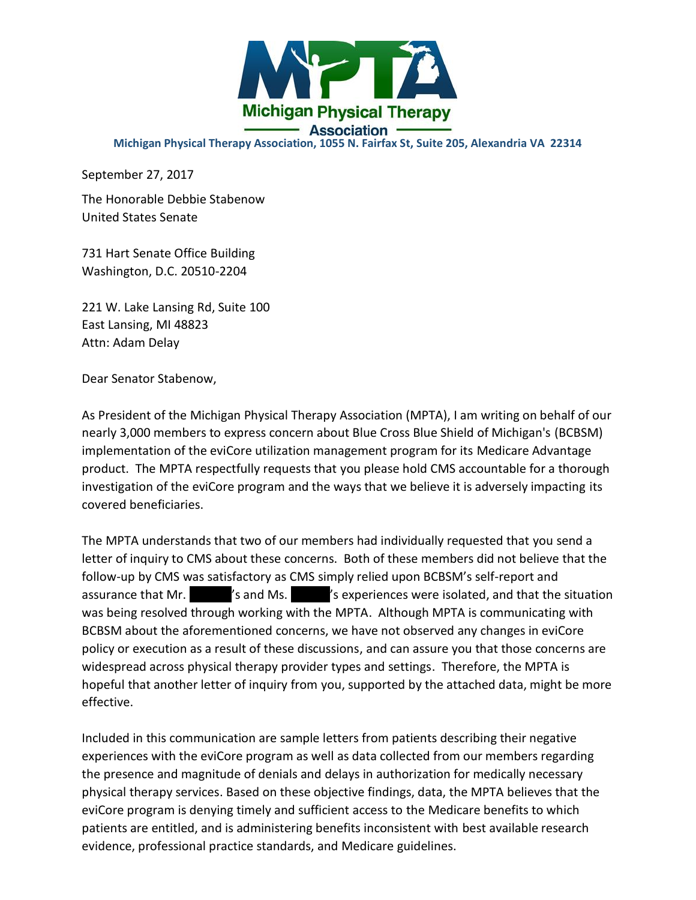

## **Michigan Physical Therapy Association, 1055 N. Fairfax St, Suite 205, Alexandria VA 22314**

September 27, 2017

The Honorable Debbie Stabenow United States Senate

731 Hart Senate Office Building Washington, D.C. 20510-2204

221 W. Lake Lansing Rd, Suite 100 East Lansing, MI 48823 Attn: Adam Delay

Dear Senator Stabenow,

As President of the Michigan Physical Therapy Association (MPTA), I am writing on behalf of our nearly 3,000 members to express concern about Blue Cross Blue Shield of Michigan's (BCBSM) implementation of the eviCore utilization management program for its Medicare Advantage product. The MPTA respectfully requests that you please hold CMS accountable for a thorough investigation of the eviCore program and the ways that we believe it is adversely impacting its covered beneficiaries.

The MPTA understands that two of our members had individually requested that you send a letter of inquiry to CMS about these concerns. Both of these members did not believe that the follow-up by CMS was satisfactory as CMS simply relied upon BCBSM's self-report and assurance that Mr.  $\blacksquare'$  is and Ms.  $\blacksquare'$  is experiences were isolated, and that the situation was being resolved through working with the MPTA. Although MPTA is communicating with BCBSM about the aforementioned concerns, we have not observed any changes in eviCore policy or execution as a result of these discussions, and can assure you that those concerns are widespread across physical therapy provider types and settings. Therefore, the MPTA is hopeful that another letter of inquiry from you, supported by the attached data, might be more effective.

Included in this communication are sample letters from patients describing their negative experiences with the eviCore program as well as data collected from our members regarding the presence and magnitude of denials and delays in authorization for medically necessary physical therapy services. Based on these objective findings, data, the MPTA believes that the eviCore program is denying timely and sufficient access to the Medicare benefits to which patients are entitled, and is administering benefits inconsistent with best available research evidence, professional practice standards, and Medicare guidelines.